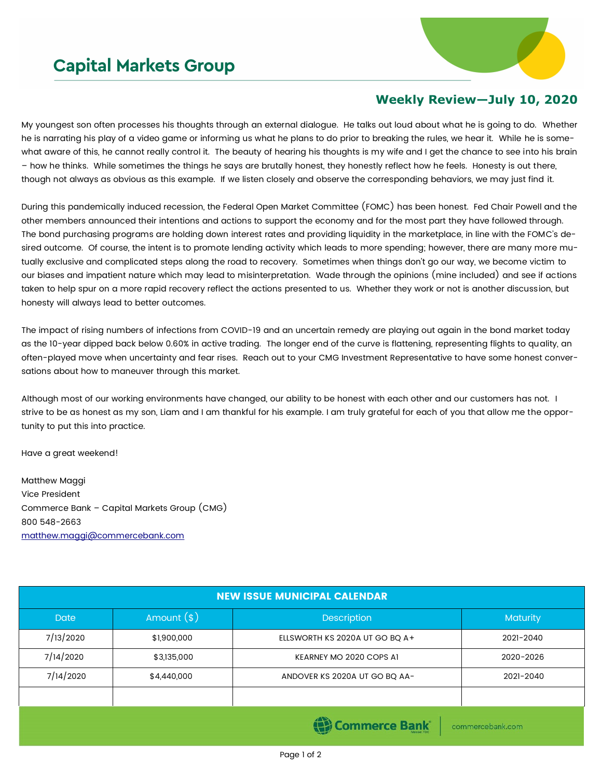## **Capital Markets Group**



## **Weekly Review—July 10, 2020**

My youngest son often processes his thoughts through an external dialogue. He talks out loud about what he is going to do. Whether he is narrating his play of a video game or informing us what he plans to do prior to breaking the rules, we hear it. While he is somewhat aware of this, he cannot really control it. The beauty of hearing his thoughts is my wife and I get the chance to see into his brain – how he thinks. While sometimes the things he says are brutally honest, they honestly reflect how he feels. Honesty is out there, though not always as obvious as this example. If we listen closely and observe the corresponding behaviors, we may just find it.

During this pandemically induced recession, the Federal Open Market Committee (FOMC) has been honest. Fed Chair Powell and the other members announced their intentions and actions to support the economy and for the most part they have followed through. The bond purchasing programs are holding down interest rates and providing liquidity in the marketplace, in line with the FOMC's desired outcome. Of course, the intent is to promote lending activity which leads to more spending; however, there are many more mutually exclusive and complicated steps along the road to recovery. Sometimes when things don't go our way, we become victim to our biases and impatient nature which may lead to misinterpretation. Wade through the opinions (mine included) and see if actions taken to help spur on a more rapid recovery reflect the actions presented to us. Whether they work or not is another discussion, but honesty will always lead to better outcomes.

The impact of rising numbers of infections from COVID-19 and an uncertain remedy are playing out again in the bond market today as the 10-year dipped back below 0.60% in active trading. The longer end of the curve is flattening, representing flights to quality, an often-played move when uncertainty and fear rises. Reach out to your CMG Investment Representative to have some honest conversations about how to maneuver through this market.

Although most of our working environments have changed, our ability to be honest with each other and our customers has not. I strive to be as honest as my son, Liam and I am thankful for his example. I am truly grateful for each of you that allow me the opportunity to put this into practice.

Have a great weekend!

Matthew Maggi Vice President Commerce Bank – Capital Markets Group (CMG) 800 548-2663 [matthew.maggi@commercebank.com](mailto:matthew.maggi@commercebank.com)

| <b>NEW ISSUE MUNICIPAL CALENDAR</b>                                     |              |                                |                 |  |  |  |  |  |
|-------------------------------------------------------------------------|--------------|--------------------------------|-----------------|--|--|--|--|--|
| <b>Date</b>                                                             | Amount $(s)$ | Description                    | <b>Maturity</b> |  |  |  |  |  |
| 7/13/2020                                                               | \$1,900,000  | ELLSWORTH KS 2020A UT GO BQ A+ | 2021-2040       |  |  |  |  |  |
| 7/14/2020                                                               | \$3,135,000  | KEARNEY MO 2020 COPS AI        | 2020-2026       |  |  |  |  |  |
| 7/14/2020                                                               | \$4,440,000  | ANDOVER KS 2020A UT GO BO AA-  | 2021-2040       |  |  |  |  |  |
|                                                                         |              |                                |                 |  |  |  |  |  |
| Commorce Rank<br>the control of the control of the state of the control |              |                                |                 |  |  |  |  |  |